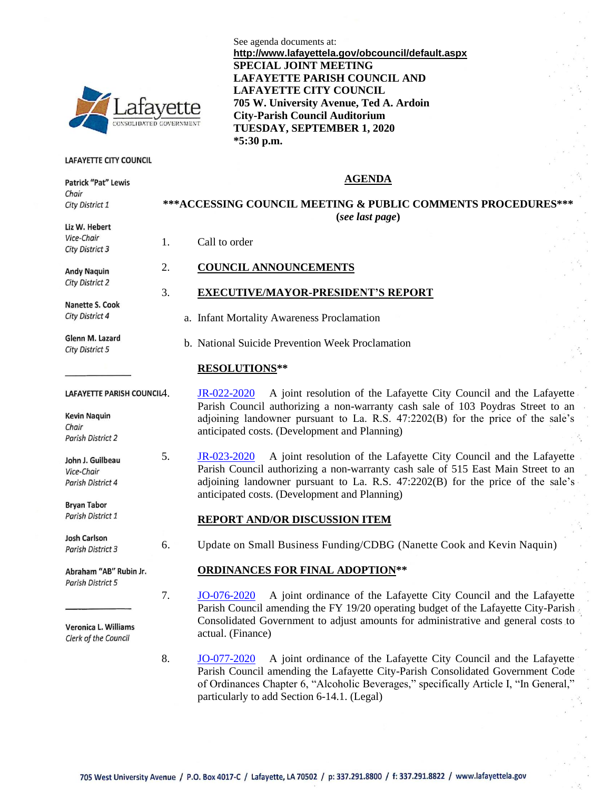

#### LAFAYETTE CITY COUNCIL

Patrick "Pat" Lewis Chair

City District 1

Liz W. Hebert Vice-Chair City District 3

**Andy Naguin City District 2** 

**Nanette S. Cook** City District 4

Glenn M. Lazard City District 5

**Kevin Naquin** Chair Parish District 2

John J. Guilbeau Vice-Chair Parish District 4

**Bryan Tabor** Parish District 1

**Josh Carlson** Parish District 3

Abraham "AB" Rubin Jr. **Parish District 5** 

Veronica L. Williams Clerk of the Council

See agenda documents at: **http://www.lafayettela.gov/obcouncil/default.aspx SPECIAL JOINT MEETING LAFAYETTE PARISH COUNCIL AND LAFAYETTE CITY COUNCIL 705 W. University Avenue, Ted A. Ardoin City-Parish Council Auditorium TUESDAY, SEPTEMBER 1, 2020 \*5:30 p.m.**

### **AGENDA**

## **\*\*\*ACCESSING COUNCIL MEETING & PUBLIC COMMENTS PROCEDURES\*\*\* (***see last page***)**

1. Call to order

### 2. **COUNCIL ANNOUNCEMENTS**

### 3. **EXECUTIVE/MAYOR-PRESIDENT'S REPORT**

a. Infant Mortality Awareness Proclamation

b. National Suicide Prevention Week Proclamation

### **RESOLUTIONS\*\***

LAFAYETTE PARISH COUNCILA. [JR-022-2020](http://apps.lafayettela.gov/OBCouncil/ViewDocument.aspx?docID=1878700) A joint resolution of the Lafayette City Council and the Lafayette Parish Council authorizing a non-warranty cash sale of 103 Poydras Street to an adjoining landowner pursuant to La. R.S.  $47:2202(B)$  for the price of the sale's anticipated costs. (Development and Planning)

> 5. [JR-023-2020](http://apps.lafayettela.gov/OBCouncil/ViewDocument.aspx?docID=1878701) A joint resolution of the Lafayette City Council and the Lafayette Parish Council authorizing a non-warranty cash sale of 515 East Main Street to an adjoining landowner pursuant to La. R.S. 47:2202(B) for the price of the sale's anticipated costs. (Development and Planning)

### **REPORT AND/OR DISCUSSION ITEM**

6. Update on Small Business Funding/CDBG (Nanette Cook and Kevin Naquin)

### **ORDINANCES FOR FINAL ADOPTION\*\***

7. [JO-076-2020](http://apps.lafayettela.gov/OBCouncil/ViewDocument.aspx?docID=1878702) A joint ordinance of the Lafayette City Council and the Lafayette Parish Council amending the FY 19/20 operating budget of the Lafayette City-Parish Consolidated Government to adjust amounts for administrative and general costs to actual. (Finance)

8. [JO-077-2020](http://apps.lafayettela.gov/OBCouncil/ViewDocument.aspx?docID=1878694) A joint ordinance of the Lafayette City Council and the Lafayette Parish Council amending the Lafayette City-Parish Consolidated Government Code of Ordinances Chapter 6, "Alcoholic Beverages," specifically Article I, "In General," particularly to add Section 6-14.1. (Legal)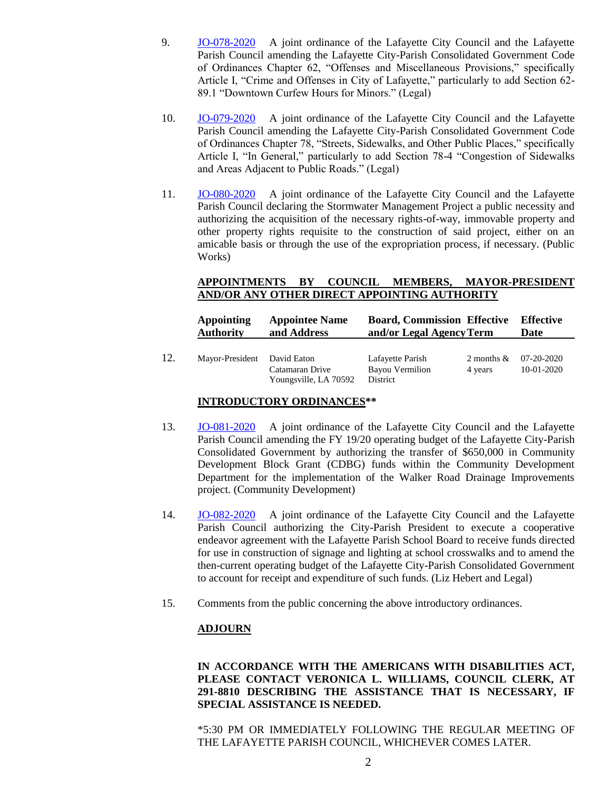- 9. [JO-078-2020](http://apps.lafayettela.gov/OBCouncil/ViewDocument.aspx?docID=1878695) A joint ordinance of the Lafayette City Council and the Lafayette Parish Council amending the Lafayette City-Parish Consolidated Government Code of Ordinances Chapter 62, "Offenses and Miscellaneous Provisions," specifically Article I, "Crime and Offenses in City of Lafayette," particularly to add Section 62- 89.1 "Downtown Curfew Hours for Minors." (Legal)
- 10. [JO-079-2020](http://apps.lafayettela.gov/OBCouncil/ViewDocument.aspx?docID=1878696) A joint ordinance of the Lafayette City Council and the Lafayette Parish Council amending the Lafayette City-Parish Consolidated Government Code of Ordinances Chapter 78, "Streets, Sidewalks, and Other Public Places," specifically Article I, "In General," particularly to add Section 78-4 "Congestion of Sidewalks and Areas Adjacent to Public Roads." (Legal)
- 11. [JO-080-2020](http://apps.lafayettela.gov/OBCouncil/ViewDocument.aspx?docID=1878697) A joint ordinance of the Lafayette City Council and the Lafayette Parish Council declaring the Stormwater Management Project a public necessity and authorizing the acquisition of the necessary rights-of-way, immovable property and other property rights requisite to the construction of said project, either on an amicable basis or through the use of the expropriation process, if necessary. (Public Works)

## **APPOINTMENTS BY COUNCIL MEMBERS, MAYOR-PRESIDENT AND/OR ANY OTHER DIRECT APPOINTING AUTHORITY**

|     | Appointing<br><b>Authority</b> | <b>Appointee Name</b><br>and Address     | <b>Board, Commission Effective</b><br>and/or Legal Agency Term |                                    | Effective<br>Date |
|-----|--------------------------------|------------------------------------------|----------------------------------------------------------------|------------------------------------|-------------------|
| 12. | Mayor-President David Eaton    | Catamaran Drive<br>Youngsville, LA 70592 | Lafayette Parish<br><b>Bayou Vermilion</b><br>District         | 2 months $& 07-20-2020$<br>4 years | 10-01-2020        |

## **INTRODUCTORY ORDINANCES\*\***

- 13. [JO-081-2020](http://apps.lafayettela.gov/OBCouncil/ViewDocument.aspx?docID=1878698) A joint ordinance of the Lafayette City Council and the Lafayette Parish Council amending the FY 19/20 operating budget of the Lafayette City-Parish Consolidated Government by authorizing the transfer of \$650,000 in Community Development Block Grant (CDBG) funds within the Community Development Department for the implementation of the Walker Road Drainage Improvements project. (Community Development)
- 14. [JO-082-2020](http://apps.lafayettela.gov/OBCouncil/ViewDocument.aspx?docID=1878699) A joint ordinance of the Lafayette City Council and the Lafayette Parish Council authorizing the City-Parish President to execute a cooperative endeavor agreement with the Lafayette Parish School Board to receive funds directed for use in construction of signage and lighting at school crosswalks and to amend the then-current operating budget of the Lafayette City-Parish Consolidated Government to account for receipt and expenditure of such funds. (Liz Hebert and Legal)
- 15. Comments from the public concerning the above introductory ordinances.

## **ADJOURN**

**IN ACCORDANCE WITH THE AMERICANS WITH DISABILITIES ACT, PLEASE CONTACT VERONICA L. WILLIAMS, COUNCIL CLERK, AT 291-8810 DESCRIBING THE ASSISTANCE THAT IS NECESSARY, IF SPECIAL ASSISTANCE IS NEEDED.**

\*5:30 PM OR IMMEDIATELY FOLLOWING THE REGULAR MEETING OF THE LAFAYETTE PARISH COUNCIL, WHICHEVER COMES LATER.